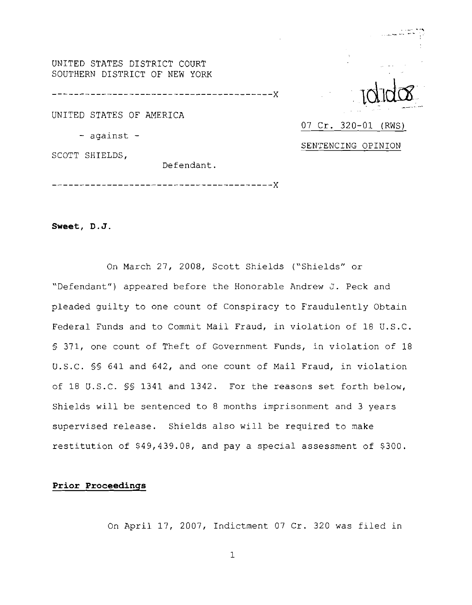UNITED STATES DISTRICT COURT SOUTHERN DISTRICT OF NEW YORK

-------------------------------------X

UNITED STATES OF AMERICA

- against -

SCOTT SHIELDS,

Defendant.

**Sweet, D. J** 

On March 27, 2008, Scott Shields ("Shields" or "Defendant") appeared before the Honorable Andrew J. Peck and pleaded guilty to one count of Conspiracy to Fraudulently Obtain Federal Funds and to Commit Mail Fraud, in violation of 18 U.S.C. § 371, one count of Theft of Government Funds, in violation of 18 U.S.C. §§ 641 and 642, and one count of Mail Fraud, in violation of 18 U.S.C. §§ 1341 and 1342. For the reasons set forth below, Shields will be sentenced to 8 months imprisonment and 3 years supervised release. Shields also will be required to make restitution of \$49,439.08, and pay a special assessment of \$300.

07 Cr. 320-01 (RWS)

SENTENCING OPINION

# **Prior Proceedings**

On April 17, 2007, Indictment 07 Cr. 320 was filed in

 $\mathbf{1}$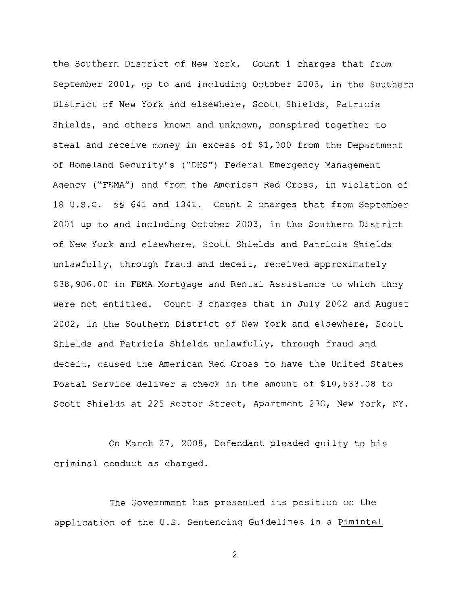the Southern District of New York. Count 1 charges that from September 2001, up to and including October 2003, in the Southern District of New York and elsewhere, Scott Shields, Patricia Shields, and others known and unknown, conspired together to steal and receive money in excess of \$1,000 from the Department of Homeland Security's ("DHS") Federal Emergency Management Agency ("FEMA") and from the American Red Cross, in violation of 18 U.S.C. **SS** 641 and 1341. Count 2 charges that from September 2001 up to and including October 2003, in the Southern District of New York and elsewhere, Scott Shields and Patricia Shields unlawfully, through fraud and deceit, received approximately \$38,906.00 in FEMA Mortgage and Rental Assistance to which they were not entitled. Count 3 charges that in July 2002 and August 2002, in the Southern District of New York and elsewhere, Scott Shields and Patricia Shields unlawfully, through fraud and deceit, caused the American Red Cross to have the United States Postal Service deliver a check in the amount of \$10,533.08 to Scott Shields at 225 Rector Street, Apartment 23G, New York, NY

On March 27, 2008, Defendant pleaded guilty to his criminal conduct as charged.

The Government has presented its position on the application of the **U.S.** Sentencing Guidelines in a Pimintel

 $\overline{2}$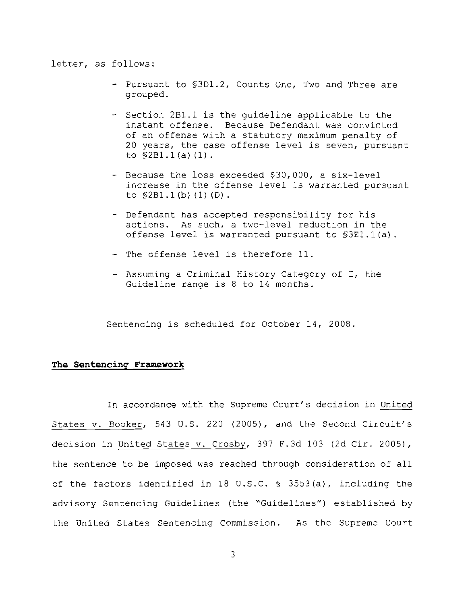#### letter, as follows:

- Pursuant to S3D1.2, Counts One, Two and Three are grouped.
- Section 2Bl.l is the guideline applicable to the instant offense. Because Defendant was convicted of an offense with a statutory maximum penalty of 20 years, the case offense level is seven, pursuant to S2Bl. 1 (a) (1) .
- Because the loss exceeded \$30,000, a six-level increase in the offense level is warranted pursuant to S2Bl. 1 (b) (1) (D) .
- Defendant has accepted responsibility for his actions. As such, a two-level reduction in the offense level is warranted pursuant to §3El.l(a).
- The offense level is therefore 11.
- Assuming a Criminal History Category of I, the Guideline range is 8 to 14 months.

Sentencing is scheduled for October 14, 2008.

# **The Sentencing Framework**

In accordance with the Supreme Court's decision in United States v. Booker, 543 U.S. 220 (2005), and the Second Circuit's decision in United States v. Crosby, 397 F.3d 103 (2d Cir. 2005), the sentence to be imposed was reached through consideration of all of the factors identified in 18 U.S.C. S 3553(a), including the advisory Sentencing Guidelines (the "Guidelines") established by the United States Sentencing Commission. As the Supreme Court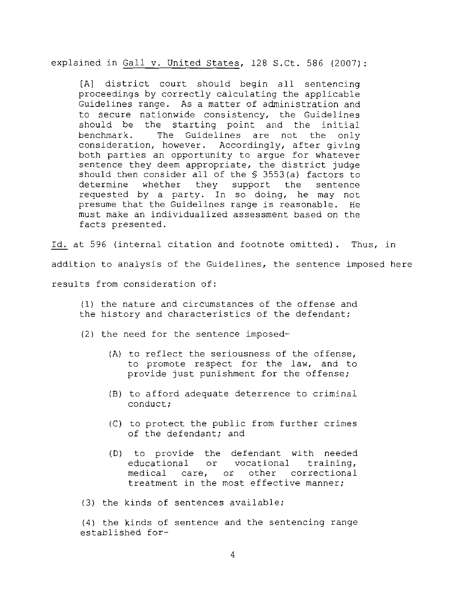explained in Gall v. United States, 128 S.Ct. 586 (2007):

[A] district court should begin all sentencing proceedings by correctly calculating the applicable Guidelines range. As a matter of administration and to secure nationwide consistency, the Guidelines should be the starting point and the initial benchmark. The Guidelines are not the only consideration, however. Accordingly, after giving both parties an opportunity to argue for whatever sentence they deem appropriate, the district judge should then consider all of the *5* 3553(a) factors to determine whether they support the sentence requested by a party. In so doing, he may not presume that the Guidelines range is reasonable. He must make an individualized assessment based on the facts presented.

pr<br>mu<br>fa<br><u>Id.</u> at Id. at 596 (internal citation and footnote omitted). Thus, in addition to analysis of the Guidelines, the sentence imposed here results from consideration of:

- (1) the nature and circumstances of the offense and the history and characteristics of the defendant;
- (2) the need for the sentence imposed-
	- (A) to reflect the seriousness of the offense, to promote respect for the law, and to provide just punishment for the offense;
	- (B) to afford adequate deterrence to criminal conduct;
	- (C) to protect the public from further crimes of the defendant; and
	- (D) to provide the defendant with needed educational or vocational training, medical care, or other correctional treatment in the most effective manner;

(3) the kinds of sentences available;

(4) the kinds of sentence and the sentencing range established for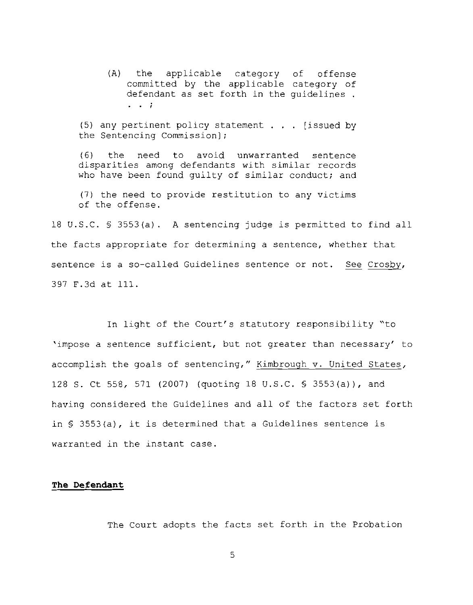(A) the applicable category of offense committed by the applicable category of defendant as set forth in the guidelines.<br> $\cdot \cdot$ 

(5) any pertinent policy statement . . . [issued by the Sentencing Commission];

(6) the need to avoid unwarranted sentence disparities among defendants with similar records who have been found quilty of similar conduct; and

7 the need to provide restitution to any victims of the offense.

18 U.S.C. § 3553(a). A sentencing judge is permitted to find all<br>the facts appropriate for determining a sentence, whether that<br>sentence is a so-called Guidelines sentence or not. <u>See Crosby</u>, the facts appropriate for determining a sentence, whether that

In light of the Court's statutory responsibility "to 'impose a sentence sufficient, but not greater than necessary' to accomplish the goals of sentencing," Kimbrough v. United States, 128 S. Ct 558, 571 (2007) (quoting 18 U.S.C. *5* 3553(a)), and having considered the Guidelines and all of the factors set forth in *5* 3553(a), it is determined that a Guidelines sentence is warranted in the instant case.

### **The Defendant**

The Court adopts the facts set forth in the Probation

 $\mathsf{S}$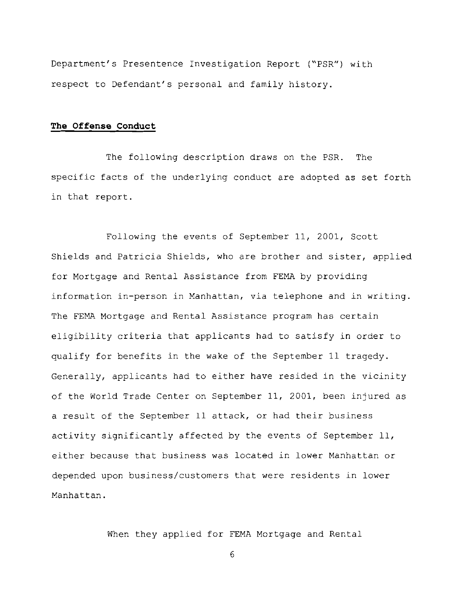Department's Presentence Investigation Report ("PSR") with respect to Defendant's personal and family history.

# **The Offense Conduct**

The following description draws on the PSR. The specific facts of the underlying conduct are adopted as set forth in that report.

Following the events of September 11, 2001, Scott Shields and Patricia Shields, who are brother and sister, applied for Mortgage and Rental Assistance from FEMA by providing information in-person in Manhattan, via telephone and in writing. The FEMA Mortgage and Rental Assistance program has certain eligibility criteria that applicants had to satisfy in order to qualify for benefits in the wake of the September 11 tragedy. Generally, applicants had to either have resided in the vicinity of the World Trade Center on September 11, 2001, been injured as a result of the September 11 attack, or had their business activity significantly affected by the events of September 11, either because that business was located in lower Manhattan or depended upon business/customers that were residents in lower Manhattan.

When they applied for FEMA Mortgage and Rental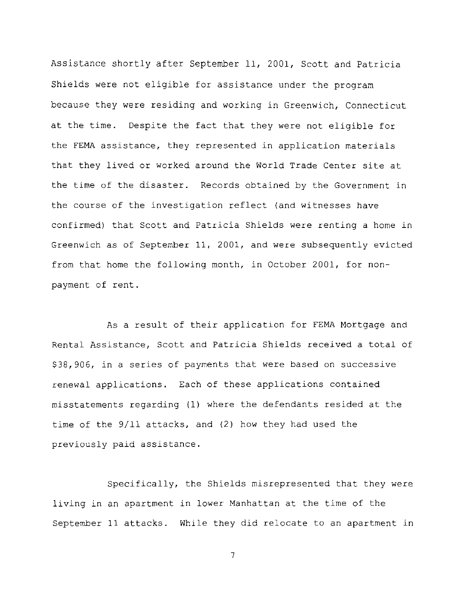Assistance shortly after September 11, 2001, Scott and Patricia Shields were not eligible for assistance under the program because they were residing and working in Greenwich, Connecticut at the time. Despite the fact that they were not eligible for the FEMA assistance, they represented in application materials that they lived or worked around the World Trade Center site at the time of the disaster. Records obtained by the Government in the course of the investigation reflect (and witnesses have confirmed) that Scott and Patricia Shields were renting a home in Greenwich as of September 11, 2001, and were subsequently evicted from that home the following month, in October 2001, for nonpayment of rent.

As a result of their application for FEMA Mortgage and Rental Assistance, Scott and Patricia Shields received a total of \$38,906, in a series of payments that were based on successive renewal applications. Each of these applications contained misstatements regarding (1) where the defendants resided at the time of the 9/11 attacks, and (2) how they had used the previously paid assistance.

Specifically, the Shields misrepresented that they were living in an apartment in lower Manhattan at the time of the September 11 attacks. While they did relocate to an apartment in

 $\overline{7}$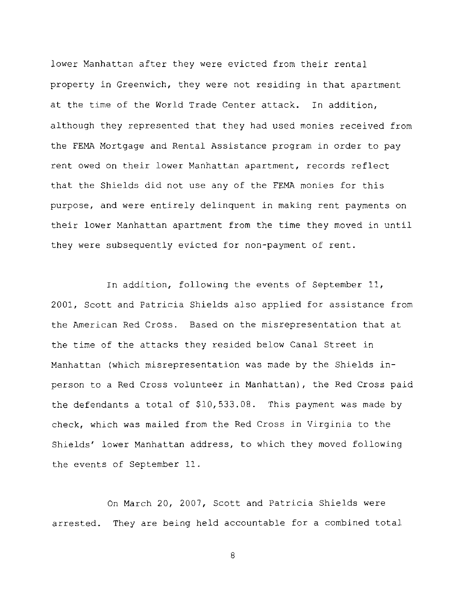lower Manhattan after they were evicted from their rental property in Greenwich, they were not residing in that apartment at the time of the World Trade Center attack. In addition, although they represented that they had used monies received from the FEMA Mortgage and Rental Assistance program in order to pay rent owed on their lower Manhattan apartment, records reflect that the Shields did not use any of the FEMA monies for this purpose, and were entirely delinquent in making rent payments on their lower Manhattan apartment from the time they moved in until they were subsequently evicted for non-payment of rent.

In addition, following the events of September 11, 2001, Scott and Patricia Shields also applied for assistance from the American Red Cross. Based on the misrepresentation that at the time of the attacks they resided below Canal Street in Manhattan (which misrepresentation was made by the Shields inperson to a Red Cross volunteer in Manhattan), the Red Cross paid the defendants a total of \$10,533.08. This payment was made by check, which was mailed from the Red Cross in Virginia to the Shields' lower Manhattan address, to which they moved following the events of September 11.

On March 20, 2007, Scott and Patricia Shields were arrested. They are being held accountable for a combined total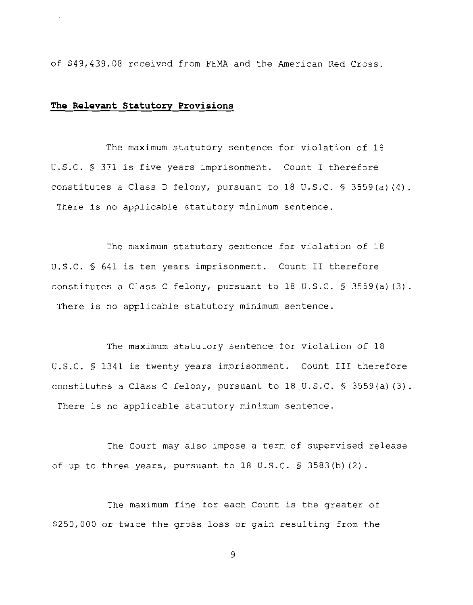of \$49,439.08 received from FEMA and the American Red Cross

# **The Relevant Statutory Provisions**

The maximum statutory sentence for violation of 18 U.S.C. *5* 371 is five years imprisonment. Count I therefore constitutes a Class D felony, pursuant to 18 U.S.C. *5* 3559(a)(4) There is no applicable statutory minimum sentence.

The maximum statutory sentence for violation of 18 U.S.C. *5* 641 is ten years imprisonment. Count I1 therefore constitutes a Class C felony, pursuant to 18 U.S.C. § 3559(a) (3). There is no applicable statutory minimum sentence.

The maximum statutory sentence for violation of 18 U.S.C. *5* 1341 is twenty years imprisonment. Count 111 therefore constitutes a Class C felony, pursuant to 18 U.S.C.  $\frac{1}{5}$  3559(a)(3). There is no applicable statutory minimum sentence.

The Court may also impose a term of supervised release of up to three years, pursuant to 18 U.S.C. **9** 3583(b) (2).

The maximum fine for each Count is the greater of \$250,000 or twice the gross loss or gain resulting from the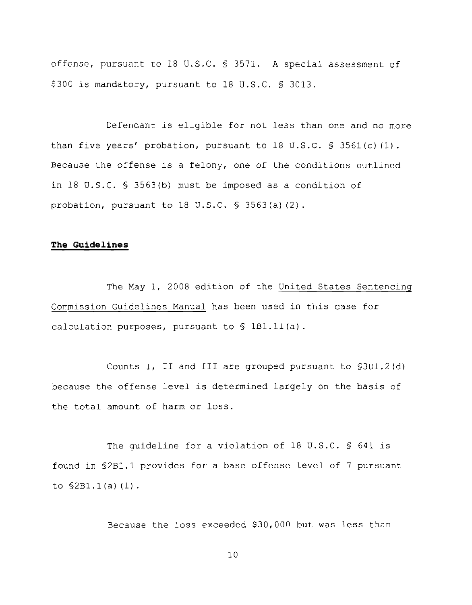offense, pursuant to 18 U.S.C. § 3571. A special assessment of \$300 is mandatory, pursuant to 18 U.S.C. § 3013.

Defendant is eligible for not less than one and no more than five years' probation, pursuant to 18 U.S.C. *5* 3561 (c) (1) . Because the offense is a felony, one of the conditions outlined in 18 U.S.C. 5 3563(b) must be imposed as a condition of probation, pursuant to 18 U.S.C. 5 3563(a) (2).

### **The Guidelines**

The May 1, 2008 edition of the United States Sentencing Commission Guidelines Manual has been used in this case for calculation purposes, pursuant to *5* lBl.ll(a).

Counts I, I1 and I11 are grouped pursuant to §3D1.2(d) because the offense level is determined largely on the basis of the total amount of harm or loss.

The quideline for a violation of 18 U.S.C. § 641 is found in 52Bl.l provides for a base offense level of 7 pursuant to  $$2B1.1(a) (1)$ .

Because the loss exceeded \$30,000 but was less than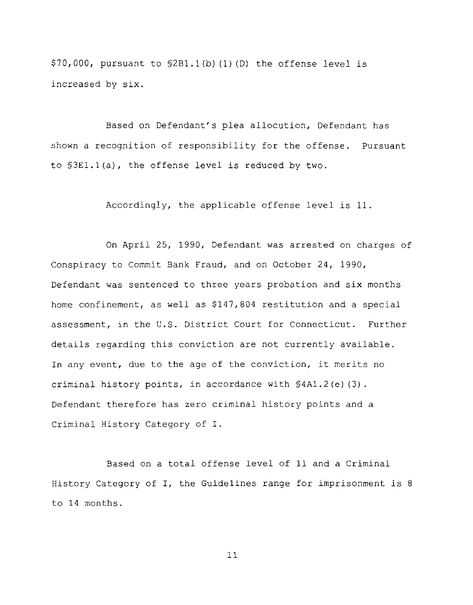$$70,000$ , pursuant to  $$2B1.1(b) (1) (D)$  the offense level is increased by six.

Based on Defendant's plea allocution, Defendant has shown a recognition of responsibility for the offense. Pursuant to §3El.l(a), the offense level is reduced by two.

Accordingly, the applicable offense level is 11

On April 25, 1990, Defendant was arrested on charges of Conspiracy to Commit Bank Fraud, and on October 24, 1990, Defendant was sentenced to three years probation and six months home confinement, as well as \$147,804 restitution and a special assessment, in the U.S. District Court for Connecticut. Further details regarding this conviction are not currently available. In any event, due to the age of the conviction, it merits no criminal history points, in accordance with §4A1.2(e) (3). Defendant therefore has zero criminal history points and a Criminal History Category of I.

Based on a total offense level of 11 and a Criminal History Category of I, the Guidelines range for imprisonment is <sup>8</sup> to 14 months.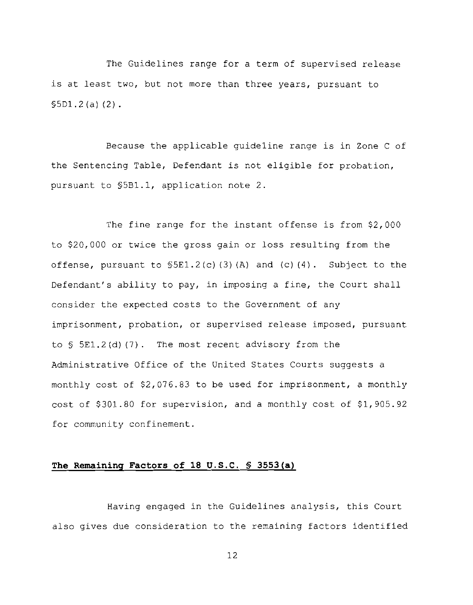The Guidelines range for a term of supervised release is at least two, but not more than three years, pursuant to 55D1.2 (a) (2) .

Because the applicable guideline range is in Zone C of the Sentencing Table, Defendant is not eligible for probation, pursuant to 5581.1, application note 2.

The fine range for the instant offense is from \$2,000 to \$20,000 or twice the gross gain or loss resulting from the offense, pursuant to  $$5E1.2(c) (3) (A)$  and  $(c) (4)$ . Subject to the Defendant's ability to pay, in imposing a fine, the Court shall consider the expected costs to the Government of any imprisonment, probation, or supervised release imposed, pursuant to *5* 5E1.2 (d) (7) . The most recent advisory from the Administrative Office of the United States Courts suggests a monthly cost of \$2,076.83 to be used for imprisonment, a monthly cost of \$301.80 for supervision, and a monthly cost of \$1,905.92 for community confinement.

# **The Remaining Factors of 18 U.S.C.** \$ **3553(a)**

Having engaged in the Guidelines analysis, this Court also gives due consideration to the remaining factors identified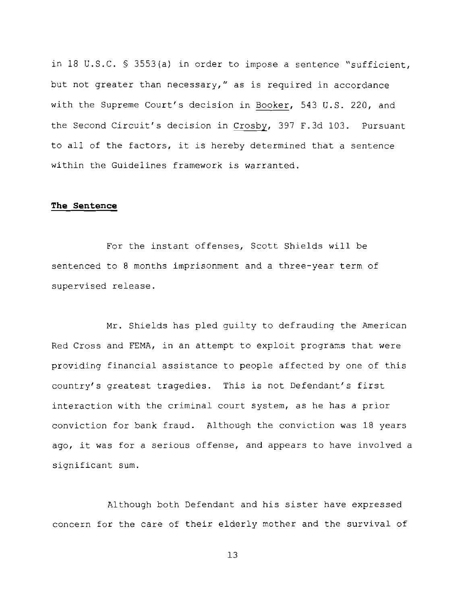in 18 U.S.C. *5* 3553(a) in order to impose a sentence "sufficient, but not greater than necessary," as is required in accordance with the Supreme Court's decision in Booker, 543 U.S. 220, and the Second Circuit's decision in Crosby, 397 F.3d 103. Pursuant to all of the factors, it is hereby determined that a sentence within the Guidelines framework is warranted.

### **The Sentence**

For the instant offenses, Scott Shields will be sentenced to 8 months imprisonment and a three-year term of supervised release.

Mr. Shields has pled guilty to defrauding the American Red Cross and FEMA, in an attempt to exploit programs that were providing financial assistance to people affected by one of this country's greatest tragedies. This is not Defendant's first interaction with the criminal court system, as he has a prior conviction for bank fraud. Although the conviction was 18 years ago, it was for a serious offense, and appears to have involved a significant sum.

Although both Defendant and his sister have expressed concern for the care of their elderly mother and the survival of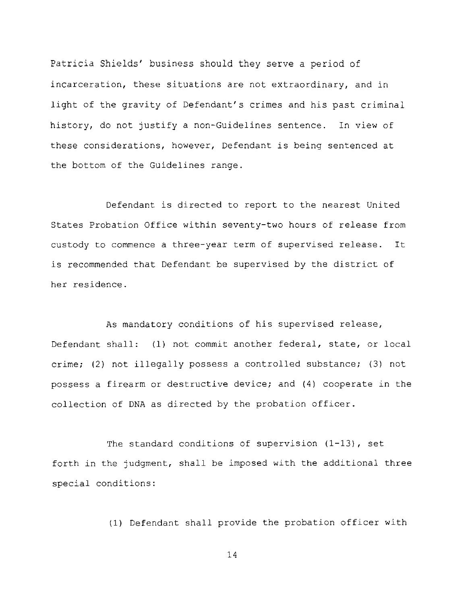Patricia Shields' business should they serve a period of incarceration, these situations are not extraordinary, and in light of the gravity of Defendant's crimes and his past criminal history, do not justify a non-Guidelines sentence. In view of these considerations, however, Defendant is being sentenced at the bottom of the Guidelines range.

Defendant is directed to report to the nearest United States Probation Office within seventy-two hours of release from custody to conmence a three-year term of supervised release. It is recommended that Defendant be supervised by the district of her residence.

As mandatory conditions of his supervised release, Defendant shall: (1) not commit another federal, state, or local crime; (2) not illegally possess a controlled substance; (3) not possess a firearm or destructive device; and (4) cooperate in the collection of DNA as directed by the probation officer.

The standard conditions of supervision (1-13), set forth in the judgment, shall be imposed with the additional three special conditions:

(1) Defendant shall provide the probation officer with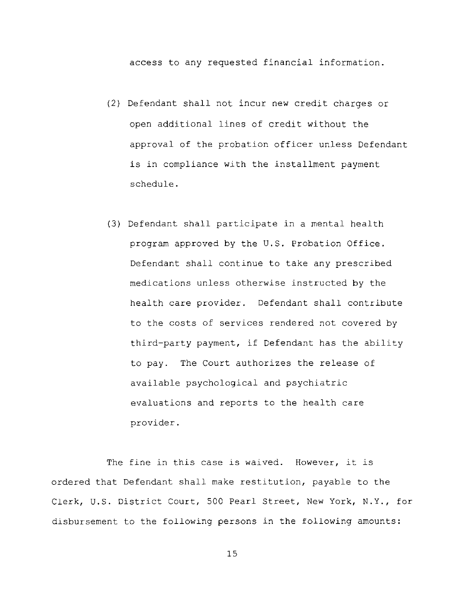access to any requested financial information.

- (2) Defendant shall not incur new credit charges or open additional lines of credit without the approval of the probation officer unless Defendant is in compliance with the installment payment schedule.
- (3) Defendant shall participate in a mental health program approved by the U.S. Probation Office. Defendant shall continue to take any prescribed medications unless otherwise instructed by the health care provider. Defendant shall contribute to the costs of services rendered not covered by third-party payment, if Defendant has the ability to pay. The Court authorizes the release of available psychological and psychiatric evaluations and reports to the health care provider.

The fine in this case is waived. However, it is ordered that Defendant shall make restitution, payable to the Clerk, U.S. District Court, 500 Pearl Street, New York, N.Y., for disbursement to the following persons in the following amounts: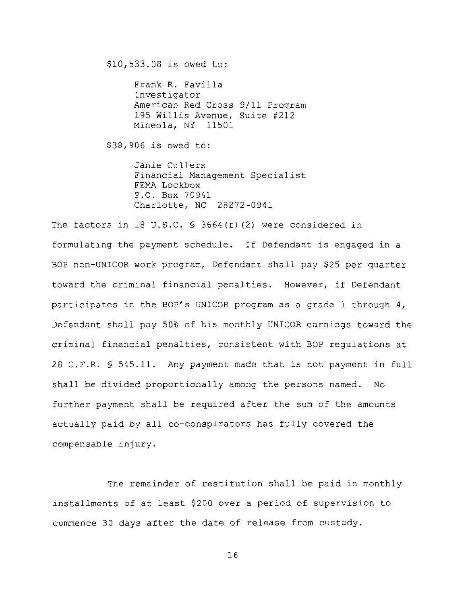\$10,533.08 is owed to:

Frank R. Favilla Investigator American Red Cross 9/11 Program 195 Willis Avenue, Suite #212 Mineola, NY 11501

\$38,906 is owed to:

Janie Cullers Financial Management Specialist FEMA Lockbox P.O. Box 70941 Charlotte, NC 28272-0941

The factors in 18 U.S.C. § 3664(f) (2) were considered in formulating the payment schedule. If Defendant is engaged in a BOP non-UNICOR work program, Defendant shall pay \$25 per quarter toward the criminal financial penalties. However, if Defendant participates in the BOP'S UNICOR program as a grade 1 through 4, Defendant shall pay 50% of his monthly UNICOR earnings toward the criminal financial penalties, consistent with BOP regulations at 28 C.F.R. § 545.11. Any payment made that is not payment in full shall be divided proportionally among the persons named. No further payment shall be required after the sum of the amounts actually paid by all co-conspirators has fully covered the compensable injury.

The remainder of restitution shall be paid in monthly installments of at least \$200 over a period of supervision to commence 30 days after the date of release from custody.